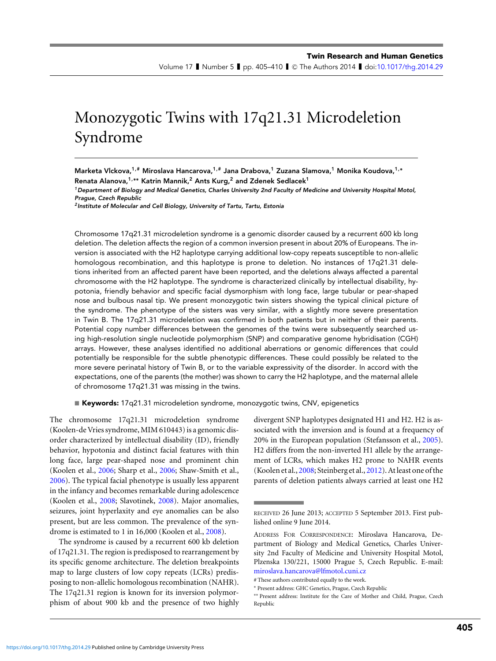Volume 17 I Number 5 I pp. 405–410 I © The Authors 2014 I doi[:10.1017/thg.2014.29](http://dx.doi.org/10.1017/thg.2014.29)

# Monozygotic Twins with 17q21.31 Microdeletion Syndrome

Marketa Vlckova,1,# Miroslava Hancarova,1,# Jana Drabova,<sup>1</sup> Zuzana Slamova,<sup>1</sup> Monika Koudova,1,**<sup>∗</sup>** Renata Alanova,<sup>1,</sup><sup>\*</sup>\* Katrin Mannik,<sup>2</sup> Ants Kurg,<sup>2</sup> and Zdenek Sedlacek<sup>1</sup>

<sup>1</sup>Department of Biology and Medical Genetics, Charles University 2nd Faculty of Medicine and University Hospital Motol, Prague, Czech Republic

<sup>2</sup> Institute of Molecular and Cell Biology, University of Tartu, Tartu, Estonia

Chromosome 17q21.31 microdeletion syndrome is a genomic disorder caused by a recurrent 600 kb long deletion. The deletion affects the region of a common inversion present in about 20% of Europeans. The inversion is associated with the H2 haplotype carrying additional low-copy repeats susceptible to non-allelic homologous recombination, and this haplotype is prone to deletion. No instances of 17q21.31 deletions inherited from an affected parent have been reported, and the deletions always affected a parental chromosome with the H2 haplotype. The syndrome is characterized clinically by intellectual disability, hypotonia, friendly behavior and specific facial dysmorphism with long face, large tubular or pear-shaped nose and bulbous nasal tip. We present monozygotic twin sisters showing the typical clinical picture of the syndrome. The phenotype of the sisters was very similar, with a slightly more severe presentation in Twin B. The 17q21.31 microdeletion was confirmed in both patients but in neither of their parents. Potential copy number differences between the genomes of the twins were subsequently searched using high-resolution single nucleotide polymorphism (SNP) and comparative genome hybridisation (CGH) arrays. However, these analyses identified no additional aberrations or genomic differences that could potentially be responsible for the subtle phenotypic differences. These could possibly be related to the more severe perinatal history of Twin B, or to the variable expressivity of the disorder. In accord with the expectations, one of the parents (the mother) was shown to carry the H2 haplotype, and the maternal allele of chromosome 17q21.31 was missing in the twins.

 $\blacksquare$  Keywords: 17q21.31 microdeletion syndrome, monozygotic twins, CNV, epigenetics

The chromosome 17q21.31 microdeletion syndrome (Koolen-de Vries syndrome, MIM 610443) is a genomic disorder characterized by intellectual disability (ID), friendly behavior, hypotonia and distinct facial features with thin long face, large pear-shaped nose and prominent chin (Koolen et al., [2006;](#page-5-0) Sharp et al., [2006;](#page-5-0) Shaw-Smith et al., [2006\)](#page-5-0). The typical facial phenotype is usually less apparent in the infancy and becomes remarkable during adolescence (Koolen et al., [2008;](#page-4-0) Slavotinek, [2008\)](#page-5-0). Major anomalies, seizures, joint hyperlaxity and eye anomalies can be also present, but are less common. The prevalence of the syndrome is estimated to 1 in 16,000 (Koolen et al., [2008\)](#page-4-0).

The syndrome is caused by a recurrent 600 kb deletion of 17q21.31. The region is predisposed to rearrangement by its specific genome architecture. The deletion breakpoints map to large clusters of low copy repeats (LCRs) predisposing to non-allelic homologous recombination (NAHR). The 17q21.31 region is known for its inversion polymorphism of about 900 kb and the presence of two highly

divergent SNP haplotypes designated H1 and H2. H2 is associated with the inversion and is found at a frequency of 20% in the European population (Stefansson et al., [2005\)](#page-5-0). H2 differs from the non-inverted H1 allele by the arrangement of LCRs, which makes H2 prone to NAHR events (Koolen et al., [2008;](#page-4-0) Steinberg et al., [2012\)](#page-5-0). At least one of the parents of deletion patients always carried at least one H2

RECEIVED 26 June 2013; ACCEPTED 5 September 2013. First published online 9 June 2014.

ADDRESS FOR CORRESPONDENCE: Miroslava Hancarova, Department of Biology and Medical Genetics, Charles University 2nd Faculty of Medicine and University Hospital Motol, Plzenska 130/221, 15000 Prague 5, Czech Republic. E-mail: [miroslava.hancarova@lfmotol.cuni.cz](mailto:miroslava.hancarova@lfmotol.cuni.cz)

<sup>#</sup> These authors contributed equally to the work.

<sup>∗</sup> Present address: GHC Genetics, Prague, Czech Republic

<sup>∗∗</sup> Present address: Institute for the Care of Mother and Child, Prague, Czech Republic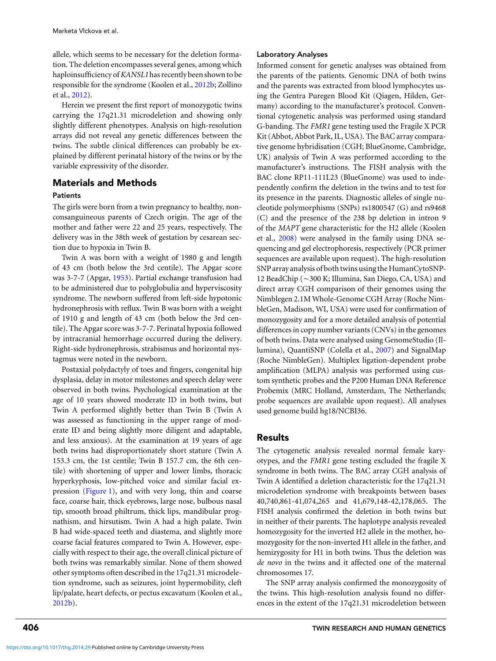allele, which seems to be necessary for the deletion formation. The deletion encompasses several genes, among which haploinsufficiency of*KANSL1*has recently been shown to be responsible for the syndrome (Koolen et al., [2012b;](#page-4-0) Zollino et al., [2012\)](#page-5-0).

Herein we present the first report of monozygotic twins carrying the 17q21.31 microdeletion and showing only slightly different phenotypes. Analysis on high-resolution arrays did not reveal any genetic differences between the twins. The subtle clinical differences can probably be explained by different perinatal history of the twins or by the variable expressivity of the disorder.

# Materials and Methods

## **Patients**

The girls were born from a twin pregnancy to healthy, nonconsanguineous parents of Czech origin. The age of the mother and father were 22 and 25 years, respectively. The delivery was in the 38th week of gestation by cesarean section due to hypoxia in Twin B.

Twin A was born with a weight of 1980 g and length of 43 cm (both below the 3rd centile). The Apgar score was 3-7-7 (Apgar, [1953\)](#page-4-0). Partial exchange transfusion had to be administered due to polyglobulia and hyperviscosity syndrome. The newborn suffered from left-side hypotonic hydronephrosis with reflux. Twin B was born with a weight of 1910 g and length of 43 cm (both below the 3rd centile). The Apgar score was 3-7-7. Perinatal hypoxia followed by intracranial hemorrhage occurred during the delivery. Right-side hydronephrosis, strabismus and horizontal nystagmus were noted in the newborn.

Postaxial polydactyly of toes and fingers, congenital hip dysplasia, delay in motor milestones and speech delay were observed in both twins. Psychological examination at the age of 10 years showed moderate ID in both twins, but Twin A performed slightly better than Twin B (Twin A was assessed as functioning in the upper range of moderate ID and being slightly more diligent and adaptable, and less anxious). At the examination at 19 years of age both twins had disproportionately short stature (Twin A 153.3 cm, the 1st centile; Twin B 157.7 cm, the 6th centile) with shortening of upper and lower limbs, thoracic hyperkyphosis, low-pitched voice and similar facial ex-pression [\(Figure 1\)](#page-2-0), and with very long, thin and coarse face, coarse hair, thick eyebrows, large nose, bulbous nasal tip, smooth broad philtrum, thick lips, mandibular prognathism, and hirsutism. Twin A had a high palate. Twin B had wide-spaced teeth and diastema, and slightly more coarse facial features compared to Twin A. However, especially with respect to their age, the overall clinical picture of both twins was remarkably similar. None of them showed other symptoms often described in the 17q21.31 microdeletion syndrome, such as seizures, joint hypermobility, cleft lip/palate, heart defects, or pectus excavatum (Koolen et al., [2012b\)](#page-4-0).

### Laboratory Analyses

Informed consent for genetic analyses was obtained from the parents of the patients. Genomic DNA of both twins and the parents was extracted from blood lymphocytes using the Gentra Puregen Blood Kit (Qiagen, Hilden, Germany) according to the manufacturer's protocol. Conventional cytogenetic analysis was performed using standard G-banding. The *FMR1* gene testing used the Fragile X PCR Kit (Abbot, Abbot Park, IL, USA). The BAC array comparative genome hybridisation (CGH; BlueGnome, Cambridge, UK) analysis of Twin A was performed according to the manufacturer's instructions. The FISH analysis with the BAC clone RP11-111L23 (BlueGnome) was used to independently confirm the deletion in the twins and to test for its presence in the parents. Diagnostic alleles of single nucleotide polymorphisms (SNPs) rs1800547 (G) and rs9468 (C) and the presence of the 238 bp deletion in intron 9 of the *MAPT* gene characteristic for the H2 allele (Koolen et al., [2008\)](#page-4-0) were analysed in the family using DNA sequencing and gel electrophoresis, respectively (PCR primer sequences are available upon request). The high-resolution SNP array analysis of both twins using the HumanCytoSNP-12 BeadChip (~300 K; Illumina, San Diego, CA, USA) and direct array CGH comparison of their genomes using the Nimblegen 2.1M Whole-Genome CGH Array (Roche NimbleGen, Madison, WI, USA) were used for confirmation of monozygosity and for a more detailed analysis of potential differences in copy number variants (CNVs) in the genomes of both twins. Data were analysed using GenomeStudio (Illumina), QuantiSNP (Colella et al., [2007\)](#page-4-0) and SignalMap (Roche NimbleGen). Multiplex ligation-dependent probe amplification (MLPA) analysis was performed using custom synthetic probes and the P200 Human DNA Reference Probemix (MRC Holland, Amsterdam, The Netherlands; probe sequences are available upon request). All analyses used genome build hg18/NCBI36.

# Results

The cytogenetic analysis revealed normal female karyotypes, and the *FMR1* gene testing excluded the fragile X syndrome in both twins. The BAC array CGH analysis of Twin A identified a deletion characteristic for the 17q21.31 microdeletion syndrome with breakpoints between bases 40,740,861-41,074,265 and 41,679,148-42,178,065. The FISH analysis confirmed the deletion in both twins but in neither of their parents. The haplotype analysis revealed homozygosity for the inverted H2 allele in the mother, homozygosity for the non-inverted H1 allele in the father, and hemizygosity for H1 in both twins. Thus the deletion was *de novo* in the twins and it affected one of the maternal chromosomes 17.

The SNP array analysis confirmed the monozygosity of the twins. This high-resolution analysis found no differences in the extent of the 17q21.31 microdeletion between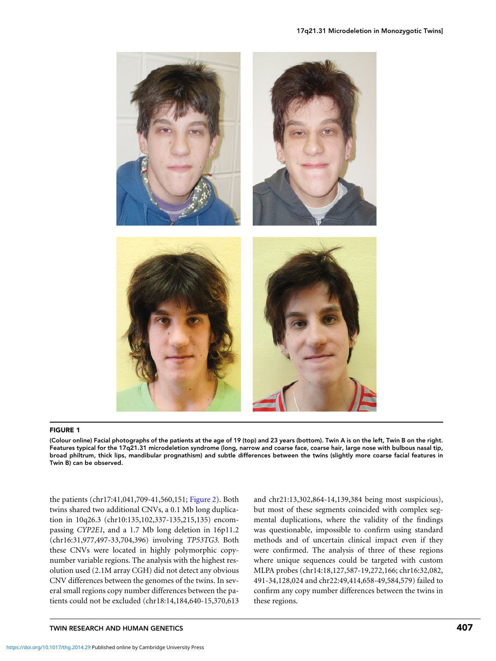<span id="page-2-0"></span>

#### FIGURE 1

(Colour online) Facial photographs of the patients at the age of 19 (top) and 23 years (bottom). Twin A is on the left, Twin B on the right. Features typical for the 17q21.31 microdeletion syndrome (long, narrow and coarse face, coarse hair, large nose with bulbous nasal tip, broad philtrum, thick lips, mandibular prognathism) and subtle differences between the twins (slightly more coarse facial features in Twin B) can be observed.

the patients (chr17:41,041,709-41,560,151; [Figure 2\)](#page-3-0). Both twins shared two additional CNVs, a 0.1 Mb long duplication in 10q26.3 (chr10:135,102,337-135,215,135) encompassing *CYP2E1*, and a 1.7 Mb long deletion in 16p11.2 (chr16:31,977,497-33,704,396) involving *TP53TG3*. Both these CNVs were located in highly polymorphic copynumber variable regions. The analysis with the highest resolution used (2.1M array CGH) did not detect any obvious CNV differences between the genomes of the twins. In several small regions copy number differences between the patients could not be excluded (chr18:14,184,640-15,370,613 and chr21:13,302,864-14,139,384 being most suspicious), but most of these segments coincided with complex segmental duplications, where the validity of the findings was questionable, impossible to confirm using standard methods and of uncertain clinical impact even if they were confirmed. The analysis of three of these regions where unique sequences could be targeted with custom MLPA probes (chr14:18,127,587-19,272,166; chr16:32,082, 491-34,128,024 and chr22:49,414,658-49,584,579) failed to confirm any copy number differences between the twins in these regions.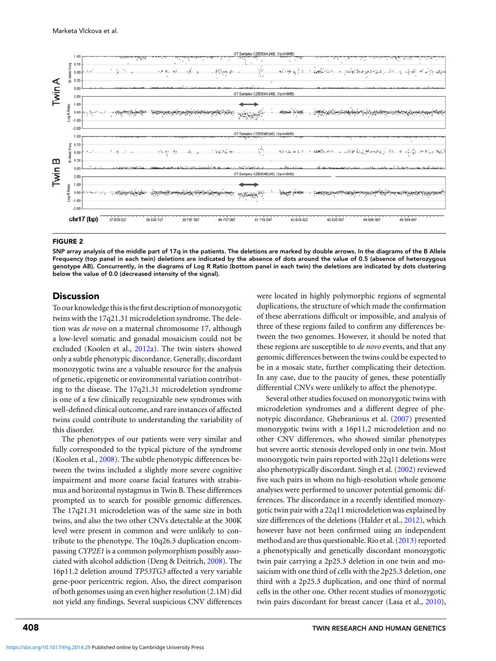<span id="page-3-0"></span>

#### FIGURE 2

SNP array analysis of the middle part of 17q in the patients. The deletions are marked by double arrows. In the diagrams of the B Allele Frequency (top panel in each twin) deletions are indicated by the absence of dots around the value of 0.5 (absence of heterozygous genotype AB). Concurrently, in the diagrams of Log R Ratio (bottom panel in each twin) the deletions are indicated by dots clustering below the value of 0.0 (decreased intensity of the signal).

## **Discussion**

To our knowledge this is the first description of monozygotic twins with the 17q21.31 microdeletion syndrome. The deletion was *de novo* on a maternal chromosome 17, although a low-level somatic and gonadal mosaicism could not be excluded (Koolen et al., [2012a\)](#page-4-0). The twin sisters showed only a subtle phenotypic discordance. Generally, discordant monozygotic twins are a valuable resource for the analysis of genetic, epigenetic or environmental variation contributing to the disease. The 17q21.31 microdeletion syndrome is one of a few clinically recognizable new syndromes with well-defined clinical outcome, and rare instances of affected twins could contribute to understanding the variability of this disorder.

The phenotypes of our patients were very similar and fully corresponded to the typical picture of the syndrome (Koolen et al., [2008\)](#page-4-0). The subtle phenotypic differences between the twins included a slightly more severe cognitive impairment and more coarse facial features with strabismus and horizontal nystagmus in Twin B. These differences prompted us to search for possible genomic differences. The 17q21.31 microdeletion was of the same size in both twins, and also the two other CNVs detectable at the 300K level were present in common and were unlikely to contribute to the phenotype. The 10q26.3 duplication encompassing *CYP2E1* is a common polymorphism possibly associated with alcohol addiction (Deng & Deitrich, [2008\)](#page-4-0). The 16p11.2 deletion around *TP53TG3* affected a very variable gene-poor pericentric region. Also, the direct comparison of both genomes using an even higher resolution (2.1M) did not yield any findings. Several suspicious CNV differences were located in highly polymorphic regions of segmental duplications, the structure of which made the confirmation of these aberrations difficult or impossible, and analysis of three of these regions failed to confirm any differences between the two genomes. However, it should be noted that these regions are susceptible to *de novo* events, and that any genomic differences between the twins could be expected to be in a mosaic state, further complicating their detection. In any case, due to the paucity of genes, these potentially differential CNVs were unlikely to affect the phenotype.

Several other studies focused on monozygotic twins with microdeletion syndromes and a different degree of phenotypic discordance. Ghebranious et al. [\(2007\)](#page-4-0) presented monozygotic twins with a 16p11.2 microdeletion and no other CNV differences, who showed similar phenotypes but severe aortic stenosis developed only in one twin. Most monozygotic twin pairs reported with 22q11 deletions were also phenotypically discordant. Singh et al. [\(2002\)](#page-5-0) reviewed five such pairs in whom no high-resolution whole genome analyses were performed to uncover potential genomic differences. The discordance in a recently identified monozygotic twin pair with a 22q11 microdeletion was explained by size differences of the deletions (Halder et al., [2012\)](#page-4-0), which however have not been confirmed using an independent method and are thus questionable. Rio et al. [\(2013\)](#page-5-0) reported a phenotypically and genetically discordant monozygotic twin pair carrying a 2p25.3 deletion in one twin and mosaicism with one third of cells with the 2p25.3 deletion, one third with a 2p25.3 duplication, and one third of normal cells in the other one. Other recent studies of monozygotic twin pairs discordant for breast cancer (Lasa et al., [2010\)](#page-5-0),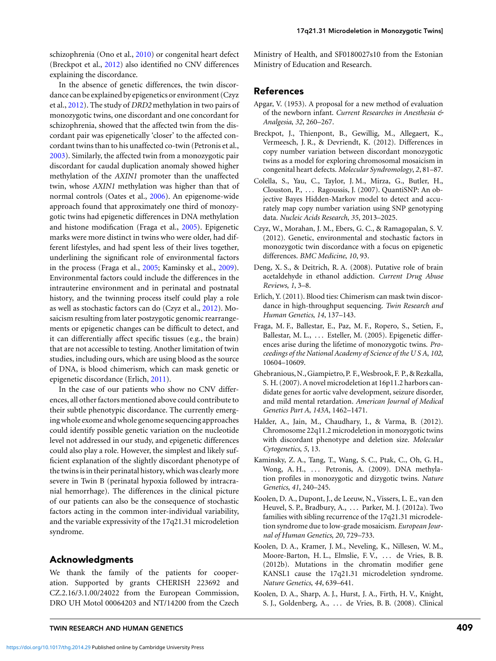<span id="page-4-0"></span>schizophrenia (Ono et al., [2010\)](#page-5-0) or congenital heart defect (Breckpot et al., 2012) also identified no CNV differences explaining the discordance.

In the absence of genetic differences, the twin discordance can be explained by epigenetics or environment (Czyz et al., 2012). The study of *DRD2* methylation in two pairs of monozygotic twins, one discordant and one concordant for schizophrenia, showed that the affected twin from the discordant pair was epigenetically 'closer' to the affected concordant twins than to his unaffected co-twin (Petronis et al., [2003\)](#page-5-0). Similarly, the affected twin from a monozygotic pair discordant for caudal duplication anomaly showed higher methylation of the *AXIN1* promoter than the unaffected twin, whose *AXIN1* methylation was higher than that of normal controls (Oates et al., [2006\)](#page-5-0). An epigenome-wide approach found that approximately one third of monozygotic twins had epigenetic differences in DNA methylation and histone modification (Fraga et al., 2005). Epigenetic marks were more distinct in twins who were older, had different lifestyles, and had spent less of their lives together, underlining the significant role of environmental factors in the process (Fraga et al., 2005; Kaminsky et al., 2009). Environmental factors could include the differences in the intrauterine environment and in perinatal and postnatal history, and the twinning process itself could play a role as well as stochastic factors can do (Czyz et al., 2012). Mosaicism resulting from later postzygotic genomic rearrangements or epigenetic changes can be difficult to detect, and it can differentially affect specific tissues (e.g., the brain) that are not accessible to testing. Another limitation of twin studies, including ours, which are using blood as the source of DNA, is blood chimerism, which can mask genetic or epigenetic discordance (Erlich, 2011).

In the case of our patients who show no CNV differences, all other factors mentioned above could contribute to their subtle phenotypic discordance. The currently emerging whole exome and whole genome sequencing approaches could identify possible genetic variation on the nucleotide level not addressed in our study, and epigenetic differences could also play a role. However, the simplest and likely sufficient explanation of the slightly discordant phenotype of the twins is in their perinatal history, which was clearly more severe in Twin B (perinatal hypoxia followed by intracranial hemorrhage). The differences in the clinical picture of our patients can also be the consequence of stochastic factors acting in the common inter-individual variability, and the variable expressivity of the 17q21.31 microdeletion syndrome.

# Acknowledgments

We thank the family of the patients for cooperation. Supported by grants CHERISH 223692 and CZ.2.16/3.1.00/24022 from the European Commission, DRO UH Motol 00064203 and NT/14200 from the Czech Ministry of Health, and SF0180027s10 from the Estonian Ministry of Education and Research.

#### References

- Apgar, V. (1953). A proposal for a new method of evaluation of the newborn infant. *Current Researches in Anesthesia & Analgesia*, *32*, 260–267.
- Breckpot, J., Thienpont, B., Gewillig, M., Allegaert, K., Vermeesch, J. R., & Devriendt, K. (2012). Differences in copy number variation between discordant monozygotic twins as a model for exploring chromosomal mosaicism in congenital heart defects. *Molecular Syndromology*, *2*, 81–87.
- Colella, S., Yau, C., Taylor, J. M., Mirza, G., Butler, H., Clouston, P., . . . Ragoussis, J. (2007). QuantiSNP: An objective Bayes Hidden-Markov model to detect and accurately map copy number variation using SNP genotyping data. *Nucleic Acids Research*, *35*, 2013–2025.
- Czyz, W., Morahan, J. M., Ebers, G. C., & Ramagopalan, S. V. (2012). Genetic, environmental and stochastic factors in monozygotic twin discordance with a focus on epigenetic differences. *BMC Medicine*, *10*, 93.
- Deng, X. S., & Deitrich, R. A. (2008). Putative role of brain acetaldehyde in ethanol addiction. *Current Drug Abuse Reviews*, *1*, 3–8.
- Erlich, Y. (2011). Blood ties: Chimerism can mask twin discordance in high-throughput sequencing. *Twin Research and Human Genetics*, *14*, 137–143.
- Fraga, M. F., Ballestar, E., Paz, M. F., Ropero, S., Setien, F., Ballestar, M. L., ... Esteller, M. (2005). Epigenetic differences arise during the lifetime of monozygotic twins. *Proceedings of the National Academy of Science of the U S A*, *102*, 10604–10609.
- Ghebranious, N., Giampietro, P. F.,Wesbrook, F. P., & Rezkalla, S. H. (2007). A novel microdeletion at 16p11.2 harbors candidate genes for aortic valve development, seizure disorder, and mild mental retardation. *American Journal of Medical Genetics Part A*, *143A*, 1462–1471.
- Halder, A., Jain, M., Chaudhary, I., & Varma, B. (2012). Chromosome 22q11.2 microdeletion in monozygotic twins with discordant phenotype and deletion size. *Molecular Cytogenetics*, *5*, 13.
- Kaminsky, Z. A., Tang, T., Wang, S. C., Ptak, C., Oh, G. H., Wong, A. H., ... Petronis, A. (2009). DNA methylation profiles in monozygotic and dizygotic twins. *Nature Genetics*, *41*, 240–245.
- Koolen, D. A., Dupont, J., de Leeuw, N., Vissers, L. E., van den Heuvel, S. P., Bradbury, A., . . . Parker, M. J. (2012a). Two families with sibling recurrence of the 17q21.31 microdeletion syndrome due to low-grade mosaicism. *European Journal of Human Genetics*, *20*, 729–733.
- Koolen, D. A., Kramer, J. M., Neveling, K., Nillesen, W. M., Moore-Barton, H. L., Elmslie, F. V., ... de Vries, B. B. (2012b). Mutations in the chromatin modifier gene KANSL1 cause the 17q21.31 microdeletion syndrome. *Nature Genetics*, *44*, 639–641.
- Koolen, D. A., Sharp, A. J., Hurst, J. A., Firth, H. V., Knight, S. J., Goldenberg, A., . . . de Vries, B. B. (2008). Clinical